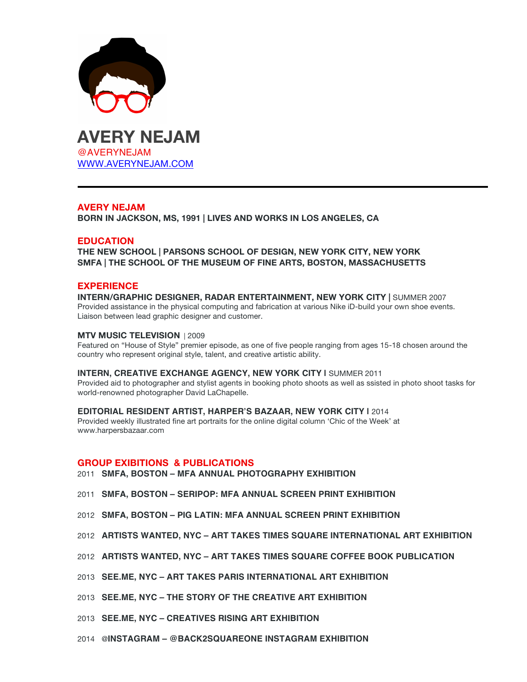



# **AVERY NEJAM**

**BORN IN JACKSON, MS, 1991 | LIVES AND WORKS IN LOS ANGELES, CA**

# **EDUCATION**

**THE NEW SCHOOL | PARSONS SCHOOL OF DESIGN, NEW YORK CITY, NEW YORK SMFA | THE SCHOOL OF THE MUSEUM OF FINE ARTS, BOSTON, MASSACHUSETTS** 

# **EXPERIENCE**

#### **INTERN/GRAPHIC DESIGNER, RADAR ENTERTAINMENT, NEW YORK CITY |** SUMMER 2007 Provided assistance in the physical computing and fabrication at various Nike iD-build your own shoe events. Liaison between lead graphic designer and customer.

### **MTV MUSIC TELEVISION** | 2009

Featured on "House of Style" premier episode, as one of five people ranging from ages 15-18 chosen around the country who represent original style, talent, and creative artistic ability.

#### **INTERN, CREATIVE EXCHANGE AGENCY, NEW YORK CITY |** SUMMER 2011

Provided aid to photographer and stylist agents in booking photo shoots as well as ssisted in photo shoot tasks for world-renowned photographer David LaChapelle.

### **EDITORIAL RESIDENT ARTIST, HARPER'S BAZAAR, NEW YORK CITY |** 2014

Provided weekly illustrated fine art portraits for the online digital column 'Chic of the Week' at www.harpersbazaar.com

### **GROUP EXIBITIONS & PUBLICATIONS**

2011 **SMFA, BOSTON – MFA ANNUAL PHOTOGRAPHY EXHIBITION**

- 2011 **SMFA, BOSTON – SERIPOP: MFA ANNUAL SCREEN PRINT EXHIBITION**
- 2012 **SMFA, BOSTON – PIG LATIN: MFA ANNUAL SCREEN PRINT EXHIBITION**
- 2012 **ARTISTS WANTED, NYC ART TAKES TIMES SQUARE INTERNATIONAL ART EXHIBITION**
- 2012 **ARTISTS WANTED, NYC – ART TAKES TIMES SQUARE COFFEE BOOK PUBLICATION**
- 2013 **SEE.ME, NYC ART TAKES PARIS INTERNATIONAL ART EXHIBITION**
- 2013 **SEE.ME, NYC THE STORY OF THE CREATIVE ART EXHIBITION**
- 2013 **SEE.ME, NYC CREATIVES RISING ART EXHIBITION**
- 2014 @**INSTAGRAM @BACK2SQUAREONE INSTAGRAM EXHIBITION**